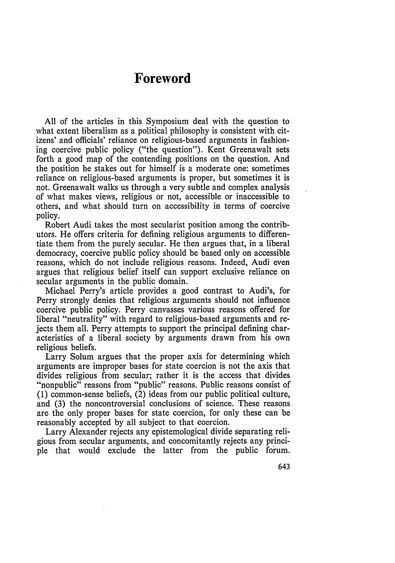## **Foreword**

All of the articles in this Symposium deal with the question to what extent liberalism as a political philosophy is consistent with citizens' and officials' reliance on religious-based arguments in fashioning coercive public policy ("the question"). Kent Greenawalt sets forth a good map of the contending positions on the question. And the position he stakes out for himself is a moderate one: sometimes reliance on religious-based arguments is proper, but sometimes it is not. Greenawalt walks us through a very subtle and complex analysis of what makes views, religious or not, accessible or inaccessible to others, and what should turn on accessibility in terms of coercive policy.

Robert Audi takes the most secularist position among the contributors. He offers criteria for defining religious arguments to differentiate them from the purely secular. He then argues that, in a liberal democracy, coercive public policy should be based only on accessible reasons, which do not include religious reasons. Indeed, Audi even argues that religious belief itself can support exclusive reliance on secular arguments in the public domain.

Michael Perry's article provides a good contrast to Audi's, for Perry strongly denies that religious arguments should not influence coercive public policy. Perry canvasses various reasons offered for liberal "neutrality" with regard to religious-based arguments and rejects them all. Perry attempts to support the principal defining characteristics of a liberal society by arguments drawn from his own religious beliefs.

Larry Solum argues that the proper axis for determining which arguments are improper bases for state coercion is not the axis that divides religious from secular; rather it is the access that divides "nonpublic" reasons from "public" reasons. Public reasons consist of (1) common-sense beliefs, (2) ideas from our public political culture, and (3) the noncontroversial conclusions of science. These reasons are the only proper bases for state coercion, for only these can be reasonably accepted by all subject to that coercion.

Larry Alexander rejects any epistemological divide separating religious from secular arguments, and concomitantly rejects any principle that would exclude the latter from the public forum.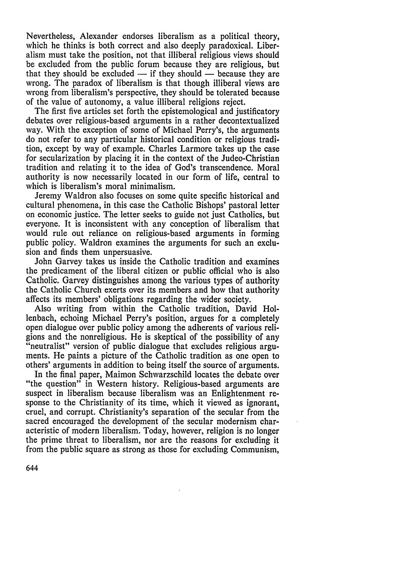Nevertheless, Alexander endorses liberalism as a political theory, which he thinks is both correct and also deeply paradoxical. Liberalism must take the position, not that illiberal religious views should be excluded from the public forum because they are religious, but that they should be excluded  $-$  if they should  $-$  because they are wrong. The paradox of liberalism is that though illiberal views are wrong from liberalism's perspective, they should be tolerated because of the value of autonomy, a value illiberal religions reject.

The first five articles set forth the epistemological and justificatory debates over religious-based arguments in a rather decontextualized way. With the exception of some of Michael Perry's, the arguments do not refer to any particular historical condition or religious tradition, except by way of example. Charles Larmore takes up the case for secularization by placing it in the context of the Judeo-Christian tradition and relating it to the idea of God's transcendence. Moral authority is now necessarily located in our form of life, central to which is liberalism's moral minimalism.

Jeremy Waldron also focuses on some quite specific historical and cultural phenomena, in this case the Catholic Bishops' pastoral letter on economic justice. The letter seeks to guide not just Catholics, but everyone. It is inconsistent with any conception of liberalism that would rule out reliance on religious-based arguments in forming public policy. Waldron examines the arguments for such an exclusion and finds them unpersuasive.

John Garvey takes us inside the Catholic tradition and examines the predicament of the liberal citizen or public official who is also Catholic. Garvey distinguishes among the various types of authority the Catholic Church exerts over its members and how that authority affects its members' obligations regarding the wider society.

Also writing from within the Catholic tradition, David Hollenbach, echoing Michael Perry's position, argues for a completely open dialogue over public policy among the adherents of various religions and the nonreligious. He is skeptical of the possibility of any "neutralist" version of public dialogue that excludes religious arguments. He paints a picture of the Catholic tradition as one open to others' arguments in addition to being itself the source of arguments.

In the final paper, Maimon Schwarzschild locates the debate over "the question" in Western history. Religious-based arguments are suspect in liberalism because liberalism was an Enlightenment response to the Christianity of its time, which it viewed as ignorant, cruel, and corrupt. Christianity's separation of the secular from the sacred encouraged the development of the secular modernism characteristic of modern liberalism. Today, however, religion is no longer the prime threat to liberalism, nor are the reasons for excluding it from the public square as strong as those for excluding Communism,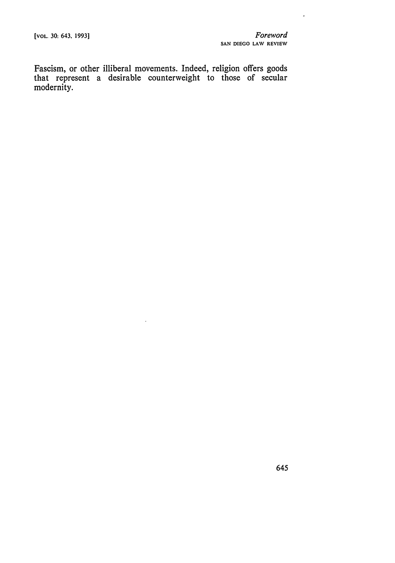$\overline{\phantom{a}}$ 

Fascism, or other illiberal movements. Indeed, religion offers goods that represent a desirable counterweight to those of secular modernity.

 $\ddot{\phantom{0}}$